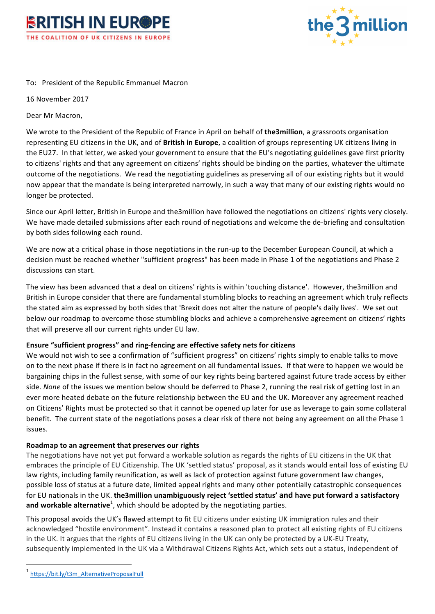



## To: President of the Republic Emmanuel Macron

16 November 2017

Dear Mr Macron,

We wrote to the President of the Republic of France in April on behalf of **the3million**, a grassroots organisation representing EU citizens in the UK, and of **British in Europe**, a coalition of groups representing UK citizens living in the EU27. In that letter, we asked your government to ensure that the EU's negotiating guidelines gave first priority to citizens' rights and that any agreement on citizens' rights should be binding on the parties, whatever the ultimate outcome of the negotiations. We read the negotiating guidelines as preserving all of our existing rights but it would now appear that the mandate is being interpreted narrowly, in such a way that many of our existing rights would no longer be protected.

Since our April letter, British in Europe and the3million have followed the negotiations on citizens' rights very closely. We have made detailed submissions after each round of negotiations and welcome the de-briefing and consultation by both sides following each round.

We are now at a critical phase in those negotiations in the run-up to the December European Council, at which a decision must be reached whether "sufficient progress" has been made in Phase 1 of the negotiations and Phase 2 discussions can start.

The view has been advanced that a deal on citizens' rights is within 'touching distance'. However, the3million and British in Europe consider that there are fundamental stumbling blocks to reaching an agreement which truly reflects the stated aim as expressed by both sides that 'Brexit does not alter the nature of people's daily lives'. We set out below our roadmap to overcome those stumbling blocks and achieve a comprehensive agreement on citizens' rights that will preserve all our current rights under EU law.

## **Ensure "sufficient progress" and ring-fencing are effective safety nets for citizens**

We would not wish to see a confirmation of "sufficient progress" on citizens' rights simply to enable talks to move on to the next phase if there is in fact no agreement on all fundamental issues. If that were to happen we would be bargaining chips in the fullest sense, with some of our key rights being bartered against future trade access by either side. *None* of the issues we mention below should be deferred to Phase 2, running the real risk of getting lost in an ever more heated debate on the future relationship between the EU and the UK. Moreover any agreement reached on Citizens' Rights must be protected so that it cannot be opened up later for use as leverage to gain some collateral benefit. The current state of the negotiations poses a clear risk of there not being any agreement on all the Phase 1 issues.

## **Roadmap to an agreement that preserves our rights**

The negotiations have not yet put forward a workable solution as regards the rights of EU citizens in the UK that embraces the principle of EU Citizenship. The UK 'settled status' proposal, as it stands would entail loss of existing EU law rights, including family reunification, as well as lack of protection against future government law changes, possible loss of status at a future date, limited appeal rights and many other potentially catastrophic consequences for EU nationals in the UK. **the3million unambiguously reject 'settled status' and have put forward a satisfactory** and workable alternative<sup>1</sup>, which should be adopted by the negotiating parties.

This proposal avoids the UK's flawed attempt to fit EU citizens under existing UK immigration rules and their acknowledged "hostile environment". Instead it contains a reasoned plan to protect all existing rights of EU citizens in the UK. It argues that the rights of EU citizens living in the UK can only be protected by a UK-EU Treaty, subsequently implemented in the UK via a Withdrawal Citizens Rights Act, which sets out a status, independent of

 $\overline{a}$ 

<sup>1</sup> https://bit.ly/t3m\_AlternativeProposalFull